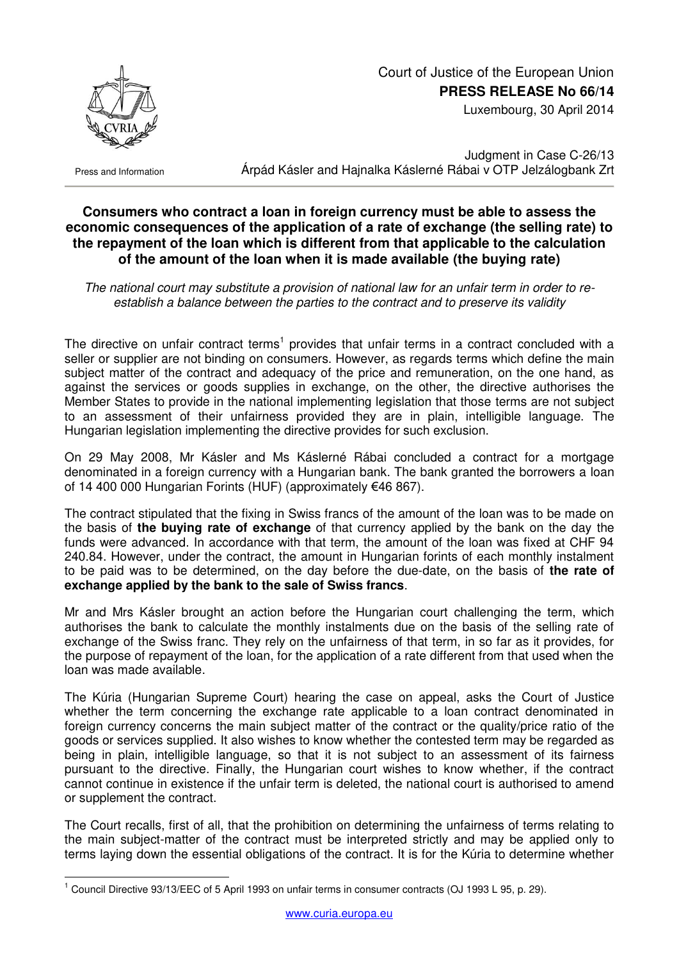

## Court of Justice of the European Union **PRESS RELEASE No 66/14**

Luxembourg, 30 April 2014

Press and Information

 $\overline{a}$ 

Judgment in Case C-26/13 Árpád Kásler and Hajnalka Káslerné Rábai v OTP Jelzálogbank Zrt

## **Consumers who contract a loan in foreign currency must be able to assess the economic consequences of the application of a rate of exchange (the selling rate) to the repayment of the loan which is different from that applicable to the calculation of the amount of the loan when it is made available (the buying rate)**

*The national court may substitute a provision of national law for an unfair term in order to reestablish a balance between the parties to the contract and to preserve its validity* 

The directive on unfair contract terms<sup>1</sup> provides that unfair terms in a contract concluded with a seller or supplier are not binding on consumers. However, as regards terms which define the main subject matter of the contract and adequacy of the price and remuneration, on the one hand, as against the services or goods supplies in exchange, on the other, the directive authorises the Member States to provide in the national implementing legislation that those terms are not subject to an assessment of their unfairness provided they are in plain, intelligible language. The Hungarian legislation implementing the directive provides for such exclusion.

On 29 May 2008, Mr Kásler and Ms Káslerné Rábai concluded a contract for a mortgage denominated in a foreign currency with a Hungarian bank. The bank granted the borrowers a loan of 14 400 000 Hungarian Forints (HUF) (approximately €46 867).

The contract stipulated that the fixing in Swiss francs of the amount of the loan was to be made on the basis of **the buying rate of exchange** of that currency applied by the bank on the day the funds were advanced. In accordance with that term, the amount of the loan was fixed at CHF 94 240.84. However, under the contract, the amount in Hungarian forints of each monthly instalment to be paid was to be determined, on the day before the due-date, on the basis of **the rate of exchange applied by the bank to the sale of Swiss francs**.

Mr and Mrs Kásler brought an action before the Hungarian court challenging the term, which authorises the bank to calculate the monthly instalments due on the basis of the selling rate of exchange of the Swiss franc. They rely on the unfairness of that term, in so far as it provides, for the purpose of repayment of the loan, for the application of a rate different from that used when the loan was made available.

The Kúria (Hungarian Supreme Court) hearing the case on appeal, asks the Court of Justice whether the term concerning the exchange rate applicable to a loan contract denominated in foreign currency concerns the main subject matter of the contract or the quality/price ratio of the goods or services supplied. It also wishes to know whether the contested term may be regarded as being in plain, intelligible language, so that it is not subject to an assessment of its fairness pursuant to the directive. Finally, the Hungarian court wishes to know whether, if the contract cannot continue in existence if the unfair term is deleted, the national court is authorised to amend or supplement the contract.

The Court recalls, first of all, that the prohibition on determining the unfairness of terms relating to the main subject-matter of the contract must be interpreted strictly and may be applied only to terms laying down the essential obligations of the contract. It is for the Kúria to determine whether

<sup>&</sup>lt;sup>1</sup> Council Directive 93/13/EEC of 5 April 1993 on unfair terms in consumer contracts (OJ 1993 L 95, p. 29).